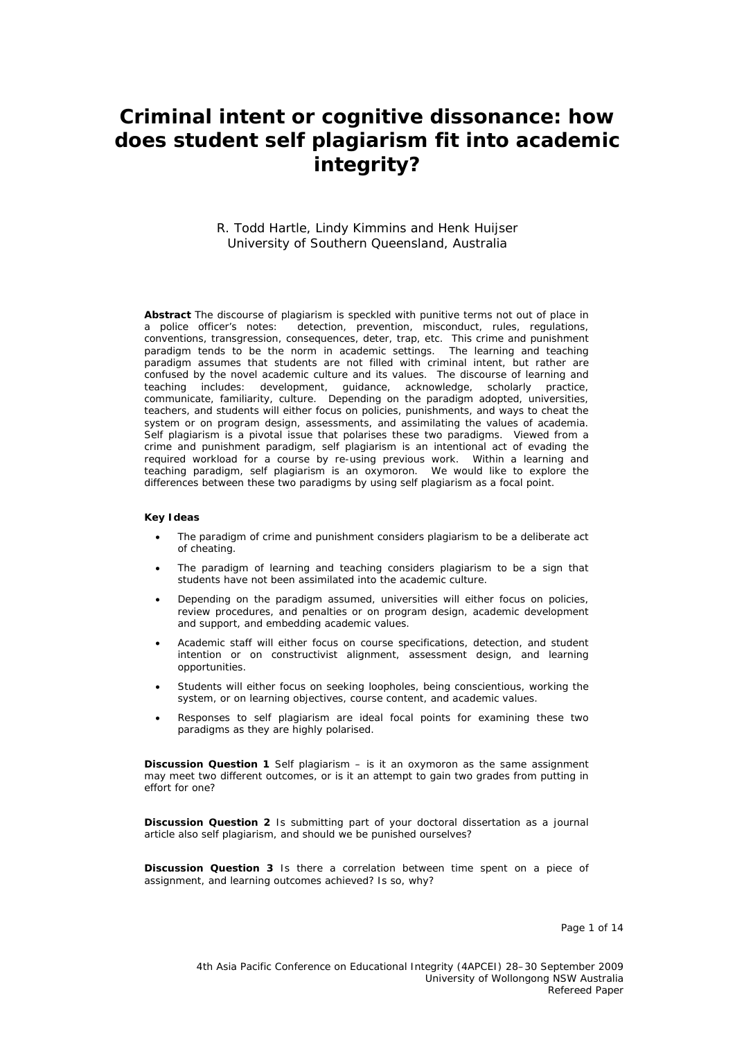# **Criminal intent or cognitive dissonance: how does student self plagiarism fit into academic integrity?**

#### R. Todd Hartle, Lindy Kimmins and Henk Huijser University of Southern Queensland, Australia

Abstract The discourse of plagiarism is speckled with punitive terms not out of place in a police officer's notes: detection, prevention, misconduct, rules, regulations, detection, prevention, misconduct, rules, regulations, conventions, transgression, consequences, deter, trap, etc. This crime and punishment paradigm tends to be the norm in academic settings. The learning and teaching paradigm assumes that students are not filled with criminal intent, but rather are confused by the novel academic culture and its values. The discourse of learning and teaching includes: development, guidance, acknowledge, scholarly practice, communicate, familiarity, culture. Depending on the paradigm adopted, universities, teachers, and students will either focus on policies, punishments, and ways to cheat the system or on program design, assessments, and assimilating the values of academia. Self plagiarism is a pivotal issue that polarises these two paradigms. Viewed from a crime and punishment paradigm, self plagiarism is an intentional act of evading the required workload for a course by re-using previous work. Within a learning and teaching paradigm, self plagiarism is an oxymoron. We would like to explore the differences between these two paradigms by using *self plagiarism* as a focal point.

#### **Key Ideas**

- The paradigm of crime and punishment considers plagiarism to be a deliberate act of cheating.
- The paradigm of learning and teaching considers plagiarism to be a sign that students have not been assimilated into the academic culture.
- Depending on the paradigm assumed, universities will either focus on policies, review procedures, and penalties or on program design, academic development and support, and embedding academic values.
- Academic staff will either focus on course specifications, detection, and student intention or on constructivist alignment, assessment design, and learning opportunities.
- Students will either focus on seeking loopholes, being conscientious, working the system, or on learning objectives, course content, and academic values.
- Responses to self plagiarism are ideal focal points for examining these two paradigms as they are highly polarised.

**Discussion Question 1** Self plagiarism – is it an oxymoron as the same assignment may meet two different outcomes, or is it an attempt to gain two grades from putting in effort for one?

**Discussion Question 2** Is submitting part of your doctoral dissertation as a journal article also self plagiarism, and should we be punished ourselves?

**Discussion Question 3** Is there a correlation between time spent on a piece of assignment, and learning outcomes achieved? Is so, why?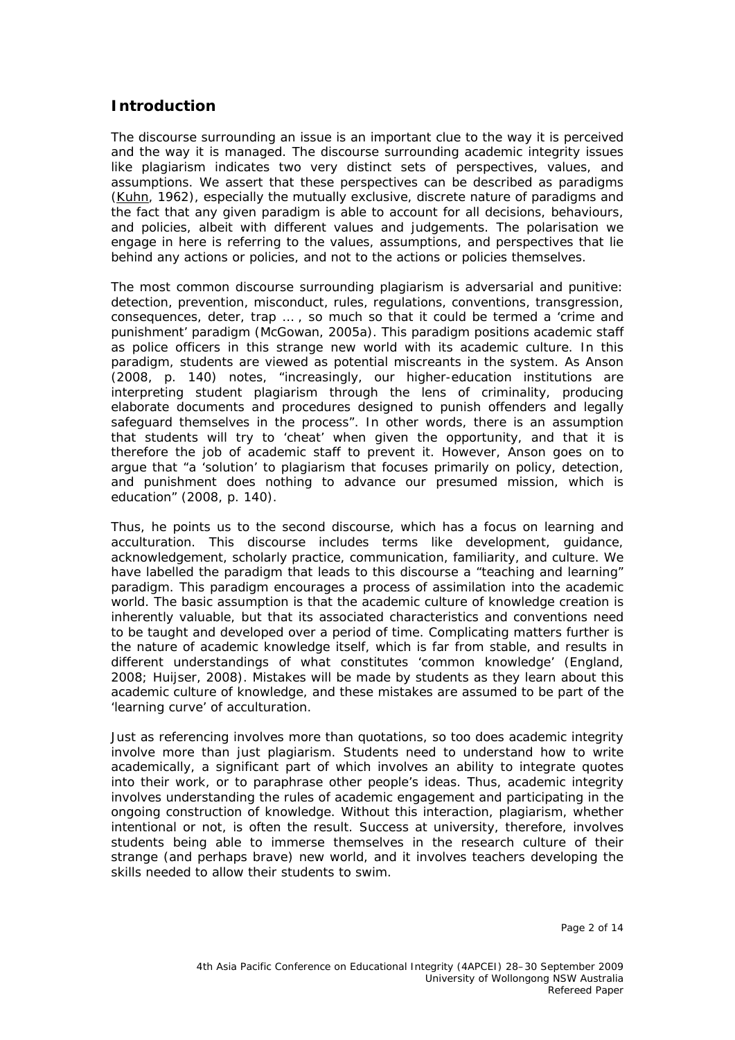#### **Introduction**

The discourse surrounding an issue is an important clue to the way it is perceived and the way it is managed. The discourse surrounding academic integrity issues like plagiarism indicates two very distinct sets of perspectives, values, and assumptions. We assert that these perspectives can be described as paradigms (Kuhn, 1962), especially the mutually exclusive, discrete nature of paradigms and the fact that any given paradigm is able to account for all decisions, behaviours, and policies, albeit with different values and judgements. The polarisation we engage in here is referring to the values, assumptions, and perspectives that lie behind any actions or policies, and not to the actions or policies themselves.

The most common discourse surrounding plagiarism is adversarial and punitive: detection, prevention, misconduct, rules, regulations, conventions, transgression, consequences, deter, trap … , so much so that it could be termed a 'crime and punishment' paradigm (McGowan, 2005a). This paradigm positions academic staff as police officers in this strange new world with its academic culture. In this paradigm, students are viewed as potential miscreants in the system. As Anson (2008, p. 140) notes, "increasingly, our higher-education institutions are interpreting student plagiarism through the lens of criminality, producing elaborate documents and procedures designed to punish offenders and legally safeguard themselves in the process". In other words, there is an assumption that students will try to 'cheat' when given the opportunity, and that it is therefore the job of academic staff to prevent it. However, Anson goes on to argue that "a 'solution' to plagiarism that focuses primarily on policy, detection, and punishment does nothing to advance our presumed mission, which is education" (2008, p. 140).

Thus, he points us to the second discourse, which has a focus on learning and acculturation. This discourse includes terms like development, guidance, acknowledgement, scholarly practice, communication, familiarity, and culture. We have labelled the paradigm that leads to this discourse a "teaching and learning" paradigm. This paradigm encourages a process of assimilation into the academic world. The basic assumption is that the academic culture of knowledge creation is inherently valuable, but that its associated characteristics and conventions need to be taught and developed over a period of time. Complicating matters further is the nature of academic knowledge itself, which is far from stable, and results in different understandings of what constitutes 'common knowledge' (England, 2008; Huijser, 2008). Mistakes will be made by students as they learn about this academic culture of knowledge, and these mistakes are assumed to be part of the 'learning curve' of acculturation.

Just as referencing involves more than quotations, so too does academic integrity involve more than just plagiarism. Students need to understand how to write academically, a significant part of which involves an ability to integrate quotes into their work, or to paraphrase other people's ideas. Thus, academic integrity involves understanding the rules of academic engagement and participating in the ongoing construction of knowledge. Without this interaction, plagiarism, whether intentional or not, is often the result. Success at university, therefore, involves students being able to immerse themselves in the research culture of their strange (and perhaps brave) new world, and it involves teachers developing the skills needed to allow their students to swim.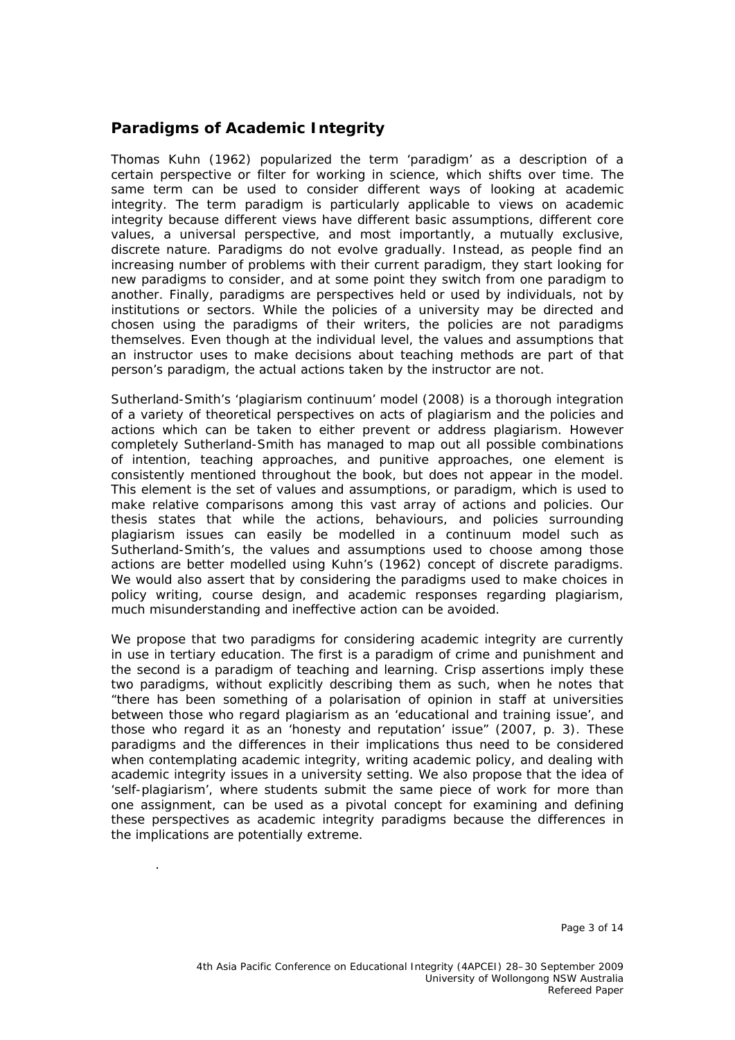#### **Paradigms of Academic Integrity**

Thomas Kuhn (1962) popularized the term 'paradigm' as a description of a certain perspective or filter for working in science, which shifts over time. The same term can be used to consider different ways of looking at academic integrity. The term paradigm is particularly applicable to views on academic integrity because different views have different basic assumptions, different core values, a universal perspective, and most importantly, a mutually exclusive, discrete nature. Paradigms do not evolve gradually. Instead, as people find an increasing number of problems with their current paradigm, they start looking for new paradigms to consider, and at some point they switch from one paradigm to another. Finally, paradigms are perspectives held or used by individuals, not by institutions or sectors. While the policies of a university may be directed and chosen using the paradigms of their writers, the policies are not paradigms themselves. Even though at the individual level, the values and assumptions that an instructor uses to make decisions about teaching methods are part of that person's paradigm, the actual actions taken by the instructor are not.

Sutherland-Smith's 'plagiarism continuum' model (2008) is a thorough integration of a variety of theoretical perspectives on acts of plagiarism and the policies and actions which can be taken to either prevent or address plagiarism. However completely Sutherland-Smith has managed to map out all possible combinations of intention, teaching approaches, and punitive approaches, one element is consistently mentioned throughout the book, but does not appear in the model. This element is the set of values and assumptions, or *paradigm*, which is used to make relative comparisons among this vast array of actions and policies. Our thesis states that while the actions, behaviours, and policies surrounding plagiarism issues can easily be modelled in a continuum model such as Sutherland-Smith's, the values and assumptions used to choose among those actions are better modelled using Kuhn's (1962) concept of discrete paradigms. We would also assert that by considering the paradigms used to make choices in policy writing, course design, and academic responses regarding plagiarism, much misunderstanding and ineffective action can be avoided.

We propose that two paradigms for considering academic integrity are currently in use in tertiary education. The first is a paradigm of crime and punishment and the second is a paradigm of teaching and learning. Crisp assertions imply these two paradigms, without explicitly describing them as such, when he notes that "there has been something of a polarisation of opinion in staff at universities between those who regard plagiarism as an 'educational and training issue', and those who regard it as an 'honesty and reputation' issue" (2007, p. 3). These paradigms and the differences in their implications thus need to be considered when contemplating academic integrity, writing academic policy, and dealing with academic integrity issues in a university setting. We also propose that the idea of 'self-plagiarism', where students submit the same piece of work for more than one assignment, can be used as a pivotal concept for examining and defining these perspectives as academic integrity paradigms because the differences in the implications are potentially extreme.

.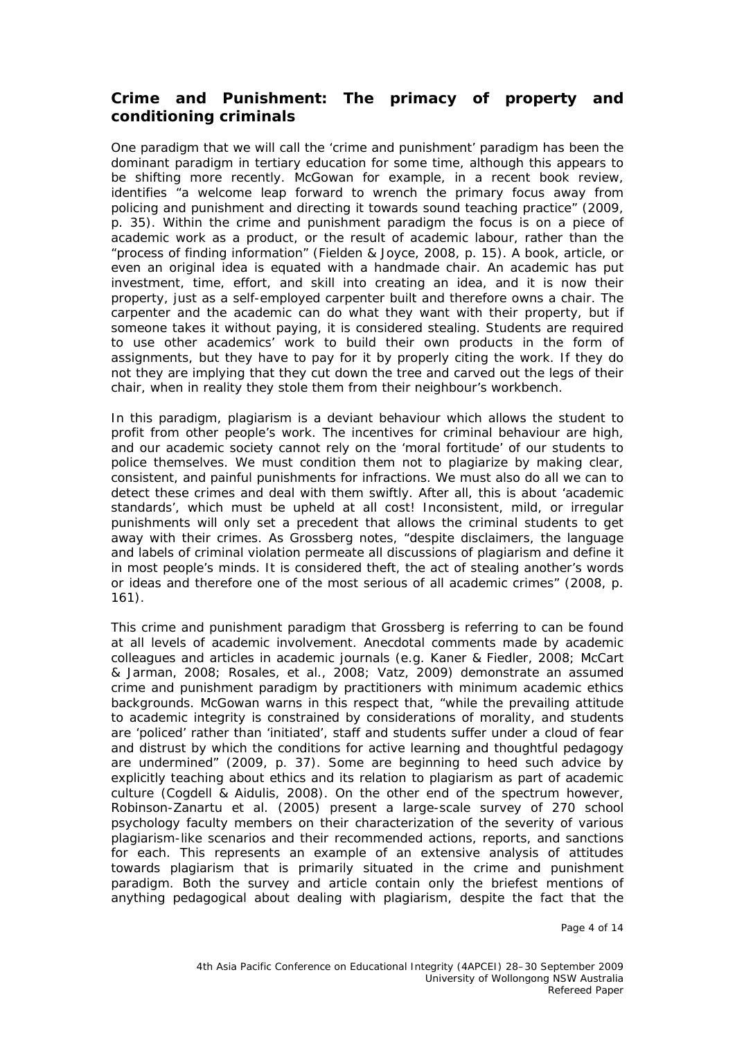#### **Crime and Punishment: The primacy of property and conditioning criminals**

One paradigm that we will call the 'crime and punishment' paradigm has been the dominant paradigm in tertiary education for some time, although this appears to be shifting more recently. McGowan for example, in a recent book review, identifies "a welcome leap forward to wrench the primary focus away from policing and punishment and directing it towards sound teaching practice" (2009, p. 35). Within the crime and punishment paradigm the focus is on a piece of academic work as a product, or the result of academic labour, rather than the "process of finding information" (Fielden & Joyce, 2008, p. 15). A book, article, or even an original idea is equated with a handmade chair. An academic has put investment, time, effort, and skill into creating an idea, and it is now their property, just as a self-employed carpenter built and therefore owns a chair. The carpenter and the academic can do what they want with their property, but if someone takes it without paying, it is considered stealing. Students are required to use other academics' work to build their own products in the form of assignments, but they have to pay for it by properly citing the work. If they do not they are implying that they cut down the tree and carved out the legs of their chair, when in reality they stole them from their neighbour's workbench.

In this paradigm, plagiarism is a deviant behaviour which allows the student to profit from other people's work. The incentives for criminal behaviour are high, and our academic society cannot rely on the 'moral fortitude' of our students to police themselves. We must condition them not to plagiarize by making clear, consistent, and painful punishments for infractions. We must also do all we can to detect these crimes and deal with them swiftly. After all, this is about 'academic standards', which must be upheld at all cost! Inconsistent, mild, or irregular punishments will only set a precedent that allows the criminal students to get away with their crimes. As Grossberg notes, "despite disclaimers, the language and labels of criminal violation permeate all discussions of plagiarism and define it in most people's minds. It is considered theft, the act of stealing another's words or ideas and therefore one of the most serious of all academic crimes" (2008, p. 161).

This crime and punishment paradigm that Grossberg is referring to can be found at all levels of academic involvement. Anecdotal comments made by academic colleagues and articles in academic journals (e.g. Kaner & Fiedler, 2008; McCart & Jarman, 2008; Rosales, et al., 2008; Vatz, 2009) demonstrate an assumed crime and punishment paradigm by practitioners with minimum academic ethics backgrounds. McGowan warns in this respect that, "while the prevailing attitude to academic integrity is constrained by considerations of morality, and students are 'policed' rather than 'initiated', staff and students suffer under a cloud of fear and distrust by which the conditions for active learning and thoughtful pedagogy are undermined" (2009, p. 37). Some are beginning to heed such advice by explicitly teaching about ethics and its relation to plagiarism as part of academic culture (Cogdell & Aidulis, 2008). On the other end of the spectrum however, Robinson-Zanartu *et al.* (2005) present a large-scale survey of 270 school psychology faculty members on their characterization of the severity of various plagiarism-like scenarios and their recommended actions, reports, and sanctions for each. This represents an example of an extensive analysis of attitudes towards plagiarism that is primarily situated in the crime and punishment paradigm. Both the survey and article contain only the briefest mentions of anything pedagogical about dealing with plagiarism, despite the fact that the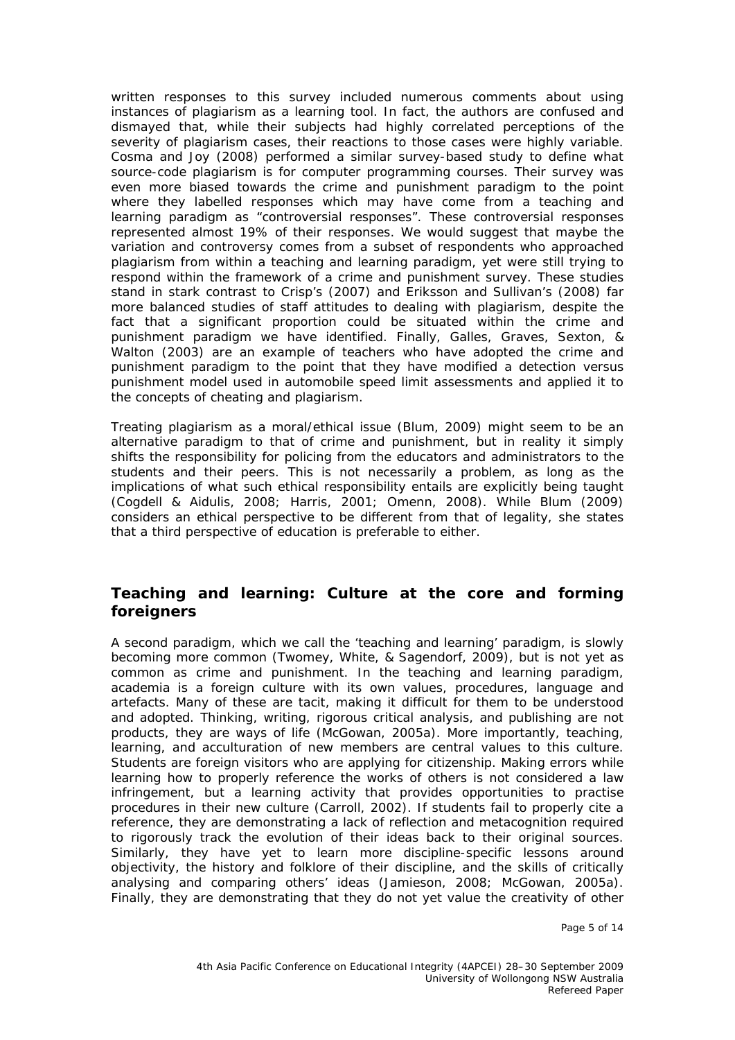written responses to this survey included numerous comments about using instances of plagiarism as a learning tool. In fact, the authors are confused and dismayed that, while their subjects had highly correlated perceptions of the severity of plagiarism cases, their reactions to those cases were highly variable. Cosma and Joy (2008) performed a similar survey-based study to define what source-code plagiarism is for computer programming courses. Their survey was even more biased towards the crime and punishment paradigm to the point where they labelled responses which may have come from a teaching and learning paradigm as "controversial responses". These controversial responses represented almost 19% of their responses. We would suggest that maybe the variation and controversy comes from a subset of respondents who approached plagiarism from within a teaching and learning paradigm, yet were still trying to respond within the framework of a crime and punishment survey. These studies stand in stark contrast to Crisp's (2007) and Eriksson and Sullivan's (2008) far more balanced studies of staff attitudes to dealing with plagiarism, despite the fact that a significant proportion could be situated within the crime and punishment paradigm we have identified. Finally, Galles, Graves, Sexton, & Walton (2003) are an example of teachers who have adopted the crime and punishment paradigm to the point that they have modified a detection versus punishment model used in automobile speed limit assessments and applied it to the concepts of cheating and plagiarism.

Treating plagiarism as a moral/ethical issue (Blum, 2009) might seem to be an alternative paradigm to that of crime and punishment, but in reality it simply shifts the responsibility for policing from the educators and administrators to the students and their peers. This is not necessarily a problem, as long as the implications of what such ethical responsibility entails are explicitly being taught (Cogdell & Aidulis, 2008; Harris, 2001; Omenn, 2008). While Blum (2009) considers an ethical perspective to be different from that of legality, she states that a third perspective of education is preferable to either.

#### **Teaching and learning: Culture at the core and forming foreigners**

A second paradigm, which we call the 'teaching and learning' paradigm, is slowly becoming more common (Twomey, White, & Sagendorf, 2009), but is not yet as common as crime and punishment. In the teaching and learning paradigm, academia is a foreign culture with its own values, procedures, language and artefacts. Many of these are tacit, making it difficult for them to be understood and adopted. Thinking, writing, rigorous critical analysis, and publishing are not products, they are ways of life (McGowan, 2005a). More importantly, teaching, learning, and acculturation of new members are central values to this culture. Students are foreign visitors who are applying for citizenship. Making errors while learning how to properly reference the works of others is not considered a law infringement, but a learning activity that provides opportunities to practise procedures in their new culture (Carroll, 2002). If students fail to properly cite a reference, they are demonstrating a lack of reflection and metacognition required to rigorously track the evolution of their ideas back to their original sources. Similarly, they have yet to learn more discipline-specific lessons around objectivity, the history and folklore of their discipline, and the skills of critically analysing and comparing others' ideas (Jamieson, 2008; McGowan, 2005a). Finally, they are demonstrating that they do not yet value the creativity of other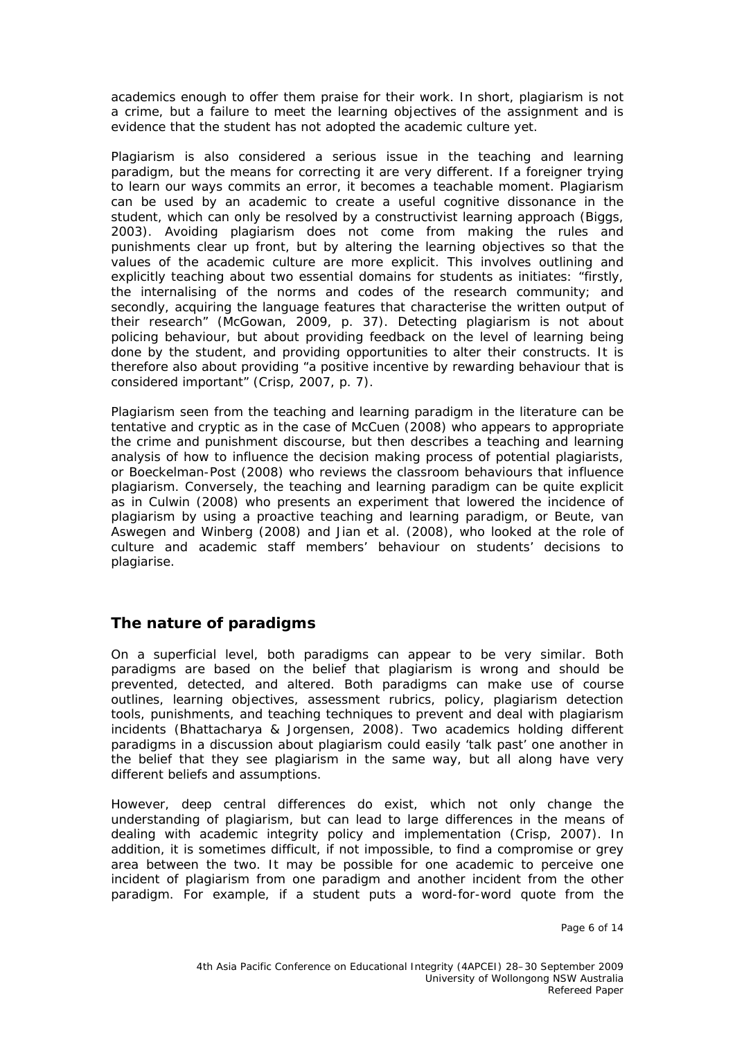academics enough to offer them praise for their work. In short, plagiarism is not a crime, but a failure to meet the learning objectives of the assignment and is evidence that the student has not adopted the academic culture yet.

Plagiarism is also considered a serious issue in the teaching and learning paradigm, but the means for correcting it are very different. If a foreigner trying to learn our ways commits an error, it becomes a teachable moment. Plagiarism can be used by an academic to create a useful cognitive dissonance in the student, which can only be resolved by a constructivist learning approach (Biggs, 2003). Avoiding plagiarism does not come from making the rules and punishments clear up front, but by altering the learning objectives so that the values of the academic culture are more explicit. This involves outlining and explicitly teaching about two essential domains for students as initiates: "firstly, the internalising of the norms and codes of the research community; and secondly, acquiring the language features that characterise the written output of their research" (McGowan, 2009, p. 37). Detecting plagiarism is not about policing behaviour, but about providing feedback on the level of learning being done by the student, and providing opportunities to alter their constructs. It is therefore also about providing "a positive incentive by rewarding behaviour that is considered important" (Crisp, 2007, p. 7).

Plagiarism seen from the teaching and learning paradigm in the literature can be tentative and cryptic as in the case of McCuen (2008) who appears to appropriate the crime and punishment discourse, but then describes a teaching and learning analysis of how to influence the decision making process of potential plagiarists, or Boeckelman-Post (2008) who reviews the classroom behaviours that influence plagiarism. Conversely, the teaching and learning paradigm can be quite explicit as in Culwin (2008) who presents an experiment that lowered the incidence of plagiarism by using a proactive teaching and learning paradigm, or Beute, van Aswegen and Winberg (2008) and Jian *et al.* (2008), who looked at the role of culture and academic staff members' behaviour on students' decisions to plagiarise.

## **The nature of paradigms**

On a superficial level, both paradigms can appear to be very similar. Both paradigms are based on the belief that plagiarism is wrong and should be prevented, detected, and altered. Both paradigms can make use of course outlines, learning objectives, assessment rubrics, policy, plagiarism detection tools, punishments, and teaching techniques to prevent and deal with plagiarism incidents (Bhattacharya & Jorgensen, 2008). Two academics holding different paradigms in a discussion about plagiarism could easily 'talk past' one another in the belief that they see plagiarism in the same way, but all along have very different beliefs and assumptions.

However, deep central differences do exist, which not only change the understanding of plagiarism, but can lead to large differences in the means of dealing with academic integrity policy and implementation (Crisp, 2007). In addition, it is sometimes difficult, if not impossible, to find a compromise or grey area between the two. It may be possible for one academic to perceive one incident of plagiarism from one paradigm and another incident from the other paradigm. For example, if a student puts a word-for-word quote from the

Page 6 of 14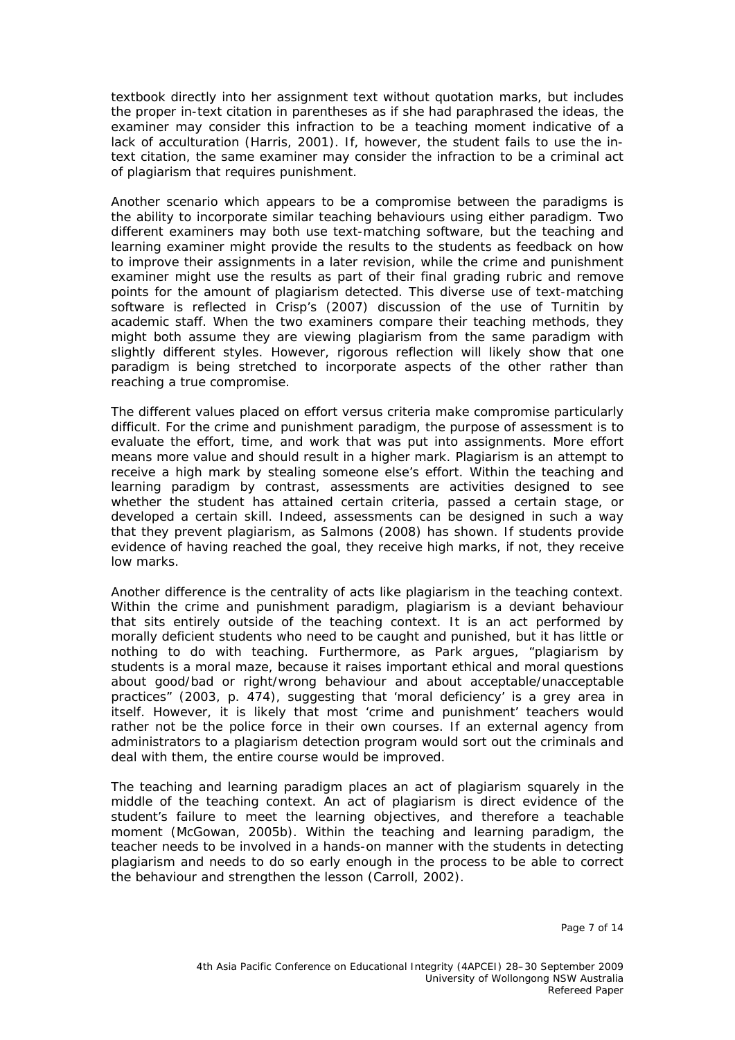textbook directly into her assignment text without quotation marks, but includes the proper in-text citation in parentheses as if she had paraphrased the ideas, the examiner may consider this infraction to be a teaching moment indicative of a lack of acculturation (Harris, 2001). If, however, the student fails to use the intext citation, the same examiner may consider the infraction to be a criminal act of plagiarism that requires punishment.

Another scenario which appears to be a compromise between the paradigms is the ability to incorporate similar teaching behaviours using either paradigm. Two different examiners may both use text-matching software, but the teaching and learning examiner might provide the results to the students as feedback on how to improve their assignments in a later revision, while the crime and punishment examiner might use the results as part of their final grading rubric and remove points for the amount of plagiarism detected. This diverse use of text-matching software is reflected in Crisp's (2007) discussion of the use of Turnitin by academic staff. When the two examiners compare their teaching methods, they might both assume they are viewing plagiarism from the same paradigm with slightly different styles. However, rigorous reflection will likely show that one paradigm is being stretched to incorporate aspects of the other rather than reaching a true compromise.

The different values placed on effort versus criteria make compromise particularly difficult. For the crime and punishment paradigm, the purpose of assessment is to evaluate the effort, time, and work that was put into assignments. More effort means more value and should result in a higher mark. Plagiarism is an attempt to receive a high mark by stealing someone else's effort. Within the teaching and learning paradigm by contrast, assessments are activities designed to see whether the student has attained certain criteria, passed a certain stage, or developed a certain skill. Indeed, assessments can be designed in such a way that they prevent plagiarism, as Salmons (2008) has shown. If students provide evidence of having reached the goal, they receive high marks, if not, they receive low marks.

Another difference is the centrality of acts like plagiarism in the teaching context. Within the crime and punishment paradigm, plagiarism is a deviant behaviour that sits entirely outside of the teaching context. It is an act performed by morally deficient students who need to be caught and punished, but it has little or nothing to do with teaching. Furthermore, as Park argues, "plagiarism by students is a moral maze, because it raises important ethical and moral questions about good/bad or right/wrong behaviour and about acceptable/unacceptable practices" (2003, p. 474), suggesting that 'moral deficiency' is a grey area in itself. However, it is likely that most 'crime and punishment' teachers would rather not be the police force in their own courses. If an external agency from administrators to a plagiarism detection program would sort out the criminals and deal with them, the entire course would be improved.

The teaching and learning paradigm places an act of plagiarism squarely in the middle of the teaching context. An act of plagiarism is direct evidence of the student's failure to meet the learning objectives, and therefore a teachable moment (McGowan, 2005b). Within the teaching and learning paradigm, the teacher needs to be involved in a hands-on manner with the students in detecting plagiarism and needs to do so early enough in the process to be able to correct the behaviour and strengthen the lesson (Carroll, 2002).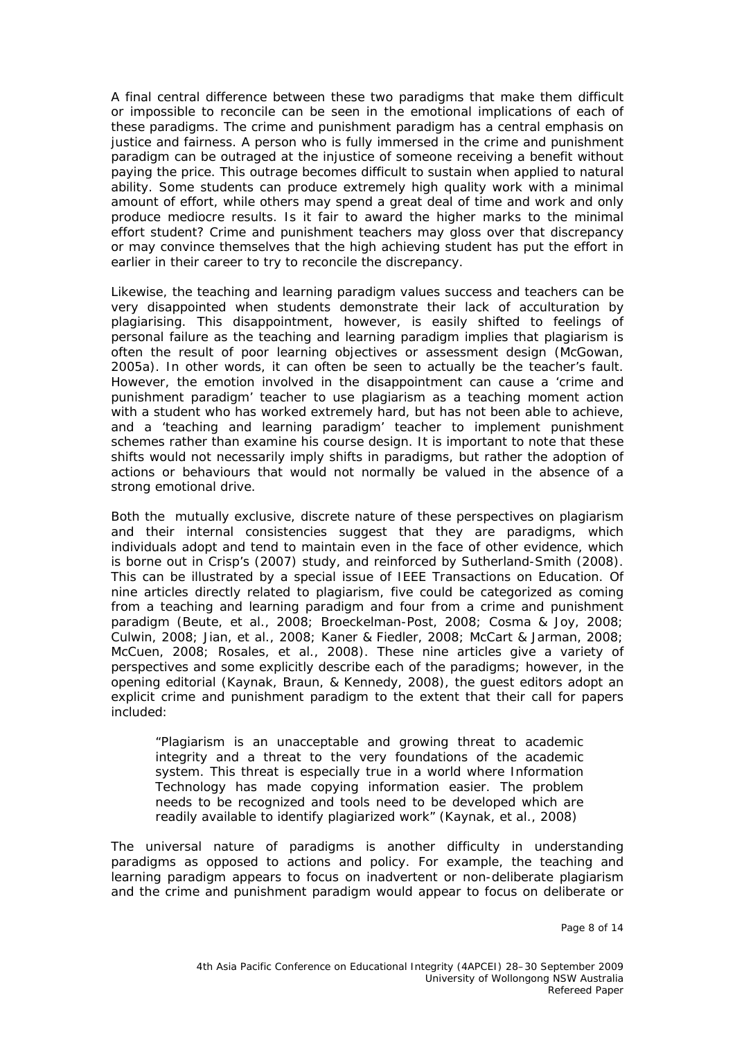A final central difference between these two paradigms that make them difficult or impossible to reconcile can be seen in the emotional implications of each of these paradigms. The crime and punishment paradigm has a central emphasis on justice and fairness. A person who is fully immersed in the crime and punishment paradigm can be outraged at the injustice of someone receiving a benefit without paying the price. This outrage becomes difficult to sustain when applied to natural ability. Some students can produce extremely high quality work with a minimal amount of effort, while others may spend a great deal of time and work and only produce mediocre results. Is it fair to award the higher marks to the minimal effort student? Crime and punishment teachers may gloss over that discrepancy or may convince themselves that the high achieving student has put the effort in earlier in their career to try to reconcile the discrepancy.

Likewise, the teaching and learning paradigm values success and teachers can be very disappointed when students demonstrate their lack of acculturation by plagiarising. This disappointment, however, is easily shifted to feelings of personal failure as the teaching and learning paradigm implies that plagiarism is often the result of poor learning objectives or assessment design (McGowan, 2005a). In other words, it can often be seen to actually be the teacher's fault. However, the emotion involved in the disappointment can cause a 'crime and punishment paradigm' teacher to use plagiarism as a teaching moment action with a student who has worked extremely hard, but has not been able to achieve, and a 'teaching and learning paradigm' teacher to implement punishment schemes rather than examine his course design. It is important to note that these shifts would not necessarily imply shifts in paradigms, but rather the adoption of actions or behaviours that would not normally be valued in the absence of a strong emotional drive.

Both the mutually exclusive, discrete nature of these perspectives on plagiarism and their internal consistencies suggest that they are paradigms, which individuals adopt and tend to maintain even in the face of other evidence, which is borne out in Crisp's (2007) study, and reinforced by Sutherland-Smith (2008). This can be illustrated by a special issue of *IEEE Transactions on Education.* Of nine articles directly related to plagiarism, five could be categorized as coming from a teaching and learning paradigm and four from a crime and punishment paradigm (Beute, et al., 2008; Broeckelman-Post, 2008; Cosma & Joy, 2008; Culwin, 2008; Jian, et al., 2008; Kaner & Fiedler, 2008; McCart & Jarman, 2008; McCuen, 2008; Rosales, et al., 2008). These nine articles give a variety of perspectives and some explicitly describe each of the paradigms; however, in the opening editorial (Kaynak, Braun, & Kennedy, 2008), the guest editors adopt an explicit crime and punishment paradigm to the extent that their call for papers included:

"Plagiarism is an unacceptable and growing threat to academic integrity and a threat to the very foundations of the academic system. This threat is especially true in a world where Information Technology has made copying information easier. The problem needs to be recognized and tools need to be developed which are readily available to identify plagiarized work" (Kaynak, et al., 2008)

The universal nature of paradigms is another difficulty in understanding paradigms as opposed to actions and policy. For example, the teaching and learning paradigm appears to focus on inadvertent or non-deliberate plagiarism and the crime and punishment paradigm would appear to focus on deliberate or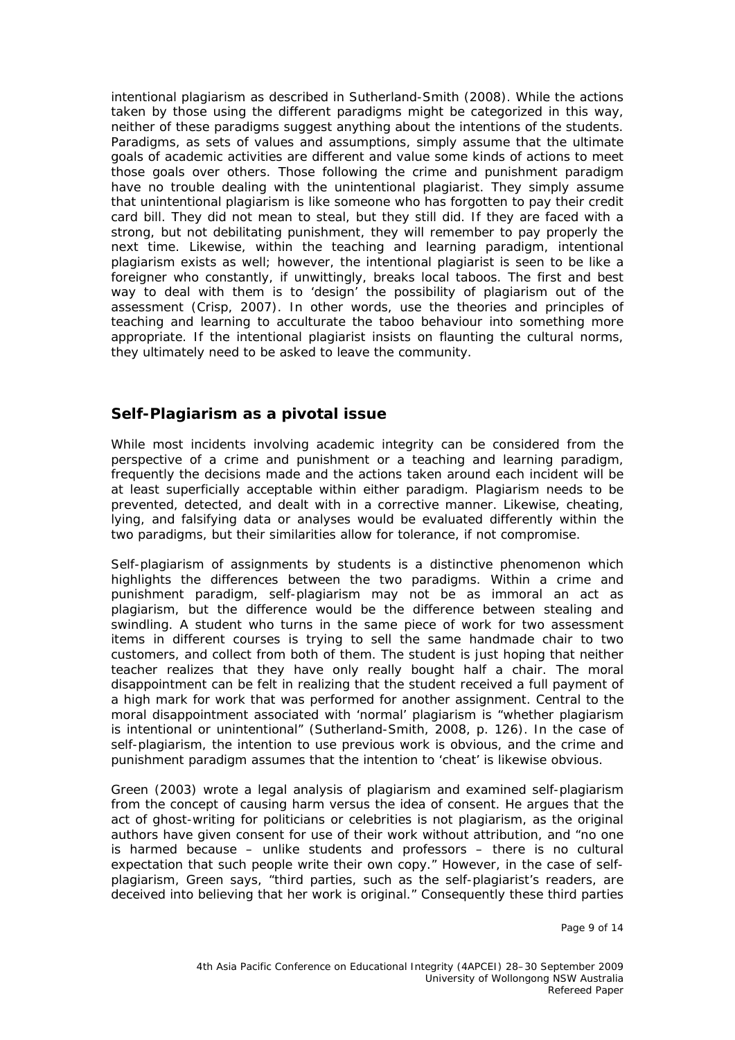intentional plagiarism as described in Sutherland-Smith (2008). While the actions taken by those using the different paradigms might be categorized in this way, neither of these paradigms suggest anything about the intentions of the students. Paradigms, as sets of values and assumptions, simply assume that the ultimate goals of academic activities are different and value some kinds of actions to meet those goals over others. Those following the crime and punishment paradigm have no trouble dealing with the unintentional plagiarist. They simply assume that unintentional plagiarism is like someone who has forgotten to pay their credit card bill. They did not mean to steal, but they still did. If they are faced with a strong, but not debilitating punishment, they will remember to pay properly the next time. Likewise, within the teaching and learning paradigm, intentional plagiarism exists as well; however, the intentional plagiarist is seen to be like a foreigner who constantly, if unwittingly, breaks local taboos. The first and best way to deal with them is to 'design' the possibility of plagiarism out of the assessment (Crisp, 2007). In other words, use the theories and principles of teaching and learning to acculturate the taboo behaviour into something more appropriate. If the intentional plagiarist insists on flaunting the cultural norms, they ultimately need to be asked to leave the community.

#### **Self-Plagiarism as a pivotal issue**

While most incidents involving academic integrity can be considered from the perspective of a crime and punishment or a teaching and learning paradigm, frequently the decisions made and the actions taken around each incident will be at least superficially acceptable within either paradigm. Plagiarism needs to be prevented, detected, and dealt with in a corrective manner. Likewise, cheating, lying, and falsifying data or analyses would be evaluated differently within the two paradigms, but their similarities allow for tolerance, if not compromise.

Self-plagiarism of assignments by students is a distinctive phenomenon which highlights the differences between the two paradigms. Within a crime and punishment paradigm, self-plagiarism may not be as immoral an act as plagiarism, but the difference would be the difference between stealing and swindling. A student who turns in the same piece of work for two assessment items in different courses is trying to sell the same handmade chair to two customers, and collect from both of them. The student is just hoping that neither teacher realizes that they have only really bought half a chair. The moral disappointment can be felt in realizing that the student received a full payment of a high mark for work that was performed for another assignment. Central to the moral disappointment associated with 'normal' plagiarism is "whether plagiarism is intentional or unintentional" (Sutherland-Smith, 2008, p. 126). In the case of self-plagiarism, the intention to use previous work is obvious, and the crime and punishment paradigm assumes that the intention to 'cheat' is likewise obvious.

Green (2003) wrote a legal analysis of plagiarism and examined self-plagiarism from the concept of causing harm versus the idea of consent. He argues that the act of ghost-writing for politicians or celebrities is not plagiarism, as the original authors have given consent for use of their work without attribution, and "no one is harmed because – unlike students and professors – there is no cultural expectation that such people write their own copy." However, in the case of selfplagiarism, Green says, "third parties, such as the self-plagiarist's readers, are deceived into believing that her work is original." Consequently these third parties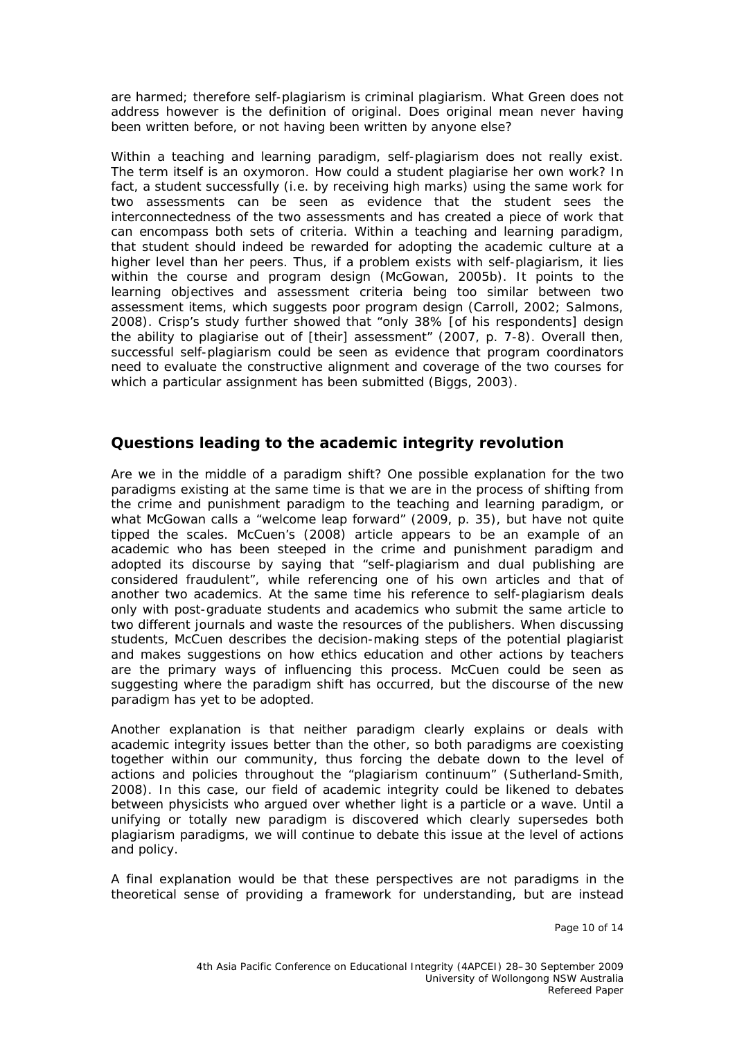are harmed; therefore self-plagiarism is criminal plagiarism. What Green does not address however is the definition of original. Does original mean never having been written before, or not having been written by anyone else?

Within a teaching and learning paradigm, self-plagiarism does not really exist. The term itself is an oxymoron. How could a student plagiarise her own work? In fact, a student successfully (*i.e.* by receiving high marks) using the same work for two assessments can be seen as evidence that the student sees the interconnectedness of the two assessments and has created a piece of work that can encompass both sets of criteria. Within a teaching and learning paradigm, that student should indeed be rewarded for adopting the academic culture at a higher level than her peers. Thus, if a problem exists with self-plagiarism, it lies within the course and program design (McGowan, 2005b). It points to the learning objectives and assessment criteria being too similar between two assessment items, which suggests poor program design (Carroll, 2002; Salmons, 2008). Crisp's study further showed that "only 38% [of his respondents] design the ability to plagiarise out of [their] assessment" (2007, p. 7-8). Overall then, successful self-plagiarism could be seen as evidence that program coordinators need to evaluate the constructive alignment and coverage of the two courses for which a particular assignment has been submitted (Biggs, 2003).

#### **Questions leading to the academic integrity revolution**

Are we in the middle of a paradigm shift? One possible explanation for the two paradigms existing at the same time is that we are in the process of shifting from the crime and punishment paradigm to the teaching and learning paradigm, or what McGowan calls a "welcome leap forward" (2009, p. 35), but have not quite tipped the scales. McCuen's (2008) article appears to be an example of an academic who has been steeped in the crime and punishment paradigm and adopted its discourse by saying that "self-plagiarism and dual publishing are considered fraudulent", while referencing one of his own articles and that of another two academics. At the same time his reference to self-plagiarism deals only with post-graduate students and academics who submit the same article to two different journals and waste the resources of the publishers. When discussing students, McCuen describes the decision-making steps of the potential plagiarist and makes suggestions on how ethics education and other actions by teachers are the primary ways of influencing this process. McCuen could be seen as suggesting where the paradigm shift has occurred, but the discourse of the new paradigm has yet to be adopted.

Another explanation is that neither paradigm clearly explains or deals with academic integrity issues better than the other, so both paradigms are coexisting together within our community, thus forcing the debate down to the level of actions and policies throughout the "plagiarism continuum" (Sutherland-Smith, 2008). In this case, our field of academic integrity could be likened to debates between physicists who argued over whether light is a particle or a wave. Until a unifying or totally new paradigm is discovered which clearly supersedes both plagiarism paradigms, we will continue to debate this issue at the level of actions and policy.

A final explanation would be that these perspectives are not paradigms in the theoretical sense of providing a framework for understanding, but are instead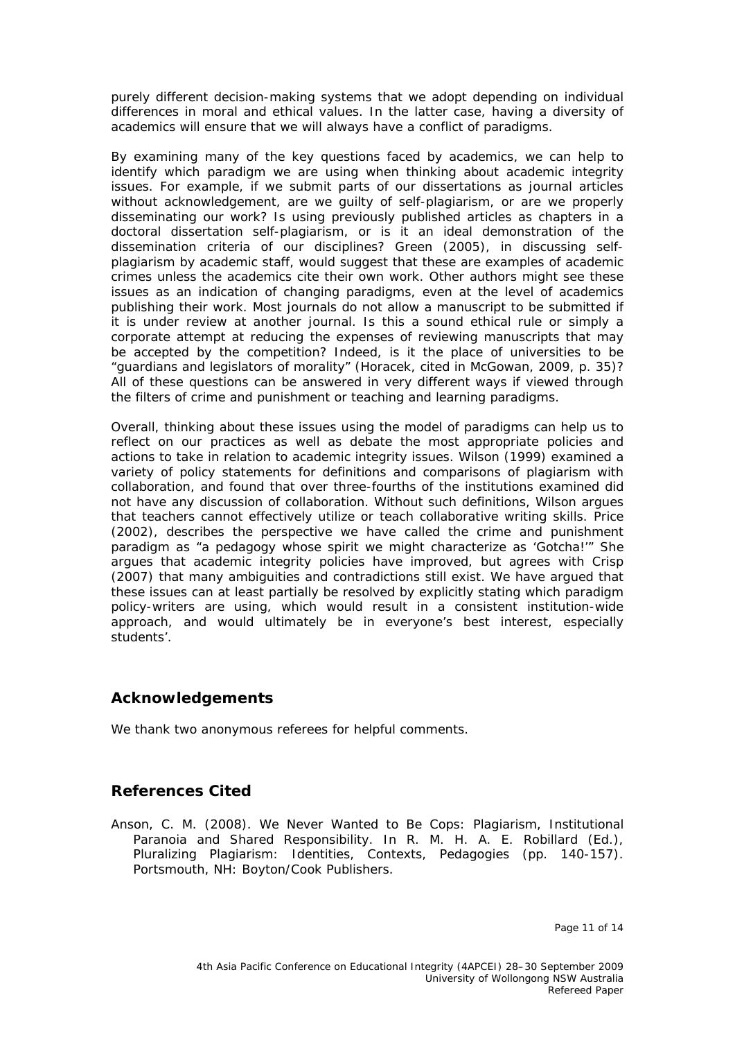purely different decision-making systems that we adopt depending on individual differences in moral and ethical values. In the latter case, having a diversity of academics will ensure that we will always have a conflict of paradigms.

By examining many of the key questions faced by academics, we can help to identify which paradigm we are using when thinking about academic integrity issues. For example, if we submit parts of our dissertations as journal articles without acknowledgement, are we guilty of self-plagiarism, or are we properly disseminating our work? Is using previously published articles as chapters in a doctoral dissertation self-plagiarism, or is it an ideal demonstration of the dissemination criteria of our disciplines? Green (2005), in discussing selfplagiarism by academic staff, would suggest that these are examples of academic crimes unless the academics cite their own work. Other authors might see these issues as an indication of changing paradigms, even at the level of academics publishing their work. Most journals do not allow a manuscript to be submitted if it is under review at another journal. Is this a sound ethical rule or simply a corporate attempt at reducing the expenses of reviewing manuscripts that may be accepted by the competition? Indeed, is it the place of universities to be "guardians and legislators of morality" (Horacek, cited in McGowan, 2009, p. 35)? All of these questions can be answered in very different ways if viewed through the filters of crime and punishment or teaching and learning paradigms.

Overall, thinking about these issues using the model of paradigms can help us to reflect on our practices as well as debate the most appropriate policies and actions to take in relation to academic integrity issues. Wilson (1999) examined a variety of policy statements for definitions and comparisons of plagiarism with collaboration, and found that over three-fourths of the institutions examined did not have any discussion of collaboration. Without such definitions, Wilson argues that teachers cannot effectively utilize or teach collaborative writing skills. Price (2002), describes the perspective we have called the crime and punishment paradigm as "a pedagogy whose spirit we might characterize as 'Gotcha!'" She argues that academic integrity policies have improved, but agrees with Crisp (2007) that many ambiguities and contradictions still exist. We have argued that these issues can at least partially be resolved by explicitly stating which paradigm policy-writers are using, which would result in a consistent institution-wide approach, and would ultimately be in everyone's best interest, especially students'.

## **Acknowledgements**

We thank two anonymous referees for helpful comments.

#### **References Cited**

Anson, C. M. (2008). We Never Wanted to Be Cops: Plagiarism, Institutional Paranoia and Shared Responsibility. In R. M. H. A. E. Robillard (Ed.), *Pluralizing Plagiarism: Identities, Contexts, Pedagogies* (pp. 140-157). Portsmouth, NH: Boyton/Cook Publishers.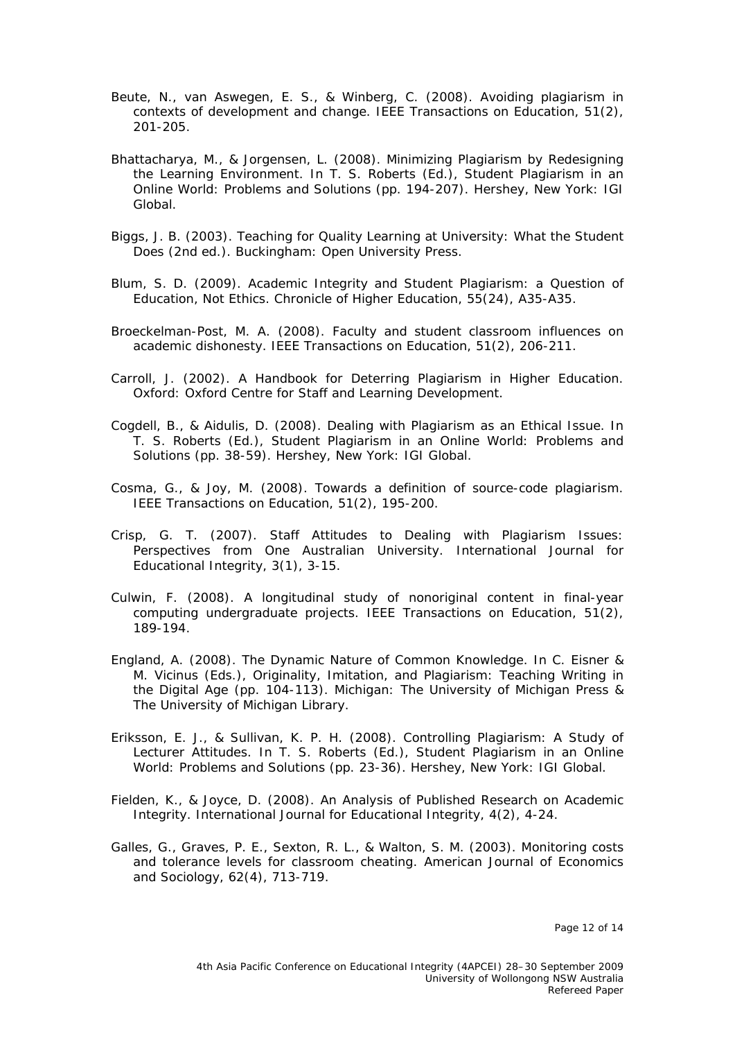- Beute, N., van Aswegen, E. S., & Winberg, C. (2008). Avoiding plagiarism in contexts of development and change. *IEEE Transactions on Education, 51*(2), 201-205.
- Bhattacharya, M., & Jorgensen, L. (2008). Minimizing Plagiarism by Redesigning the Learning Environment. In T. S. Roberts (Ed.), *Student Plagiarism in an Online World: Problems and Solutions* (pp. 194-207). Hershey, New York: IGI Global.
- Biggs, J. B. (2003). *Teaching for Quality Learning at University: What the Student Does* (2nd ed.). Buckingham: Open University Press.
- Blum, S. D. (2009). Academic Integrity and Student Plagiarism: a Question of Education, Not Ethics. *Chronicle of Higher Education, 55*(24), A35-A35.
- Broeckelman-Post, M. A. (2008). Faculty and student classroom influences on academic dishonesty. *IEEE Transactions on Education, 51*(2), 206-211.
- Carroll, J. (2002). *A Handbook for Deterring Plagiarism in Higher Education*. Oxford: Oxford Centre for Staff and Learning Development.
- Cogdell, B., & Aidulis, D. (2008). Dealing with Plagiarism as an Ethical Issue. In T. S. Roberts (Ed.), *Student Plagiarism in an Online World: Problems and Solutions* (pp. 38-59). Hershey, New York: IGI Global.
- Cosma, G., & Joy, M. (2008). Towards a definition of source-code plagiarism. *IEEE Transactions on Education, 51*(2), 195-200.
- Crisp, G. T. (2007). Staff Attitudes to Dealing with Plagiarism Issues: Perspectives from One Australian University. *International Journal for Educational Integrity, 3*(1), 3-15.
- Culwin, F. (2008). A longitudinal study of nonoriginal content in final-year computing undergraduate projects. *IEEE Transactions on Education, 51*(2), 189-194.
- England, A. (2008). The Dynamic Nature of Common Knowledge. In C. Eisner & M. Vicinus (Eds.), *Originality, Imitation, and Plagiarism: Teaching Writing in the Digital Age* (pp. 104-113). Michigan: The University of Michigan Press & The University of Michigan Library.
- Eriksson, E. J., & Sullivan, K. P. H. (2008). Controlling Plagiarism: A Study of Lecturer Attitudes. In T. S. Roberts (Ed.), *Student Plagiarism in an Online World: Problems and Solutions* (pp. 23-36). Hershey, New York: IGI Global.
- Fielden, K., & Joyce, D. (2008). An Analysis of Published Research on Academic Integrity. *International Journal for Educational Integrity, 4*(2), 4-24.
- Galles, G., Graves, P. E., Sexton, R. L., & Walton, S. M. (2003). Monitoring costs and tolerance levels for classroom cheating. *American Journal of Economics and Sociology, 62*(4), 713-719.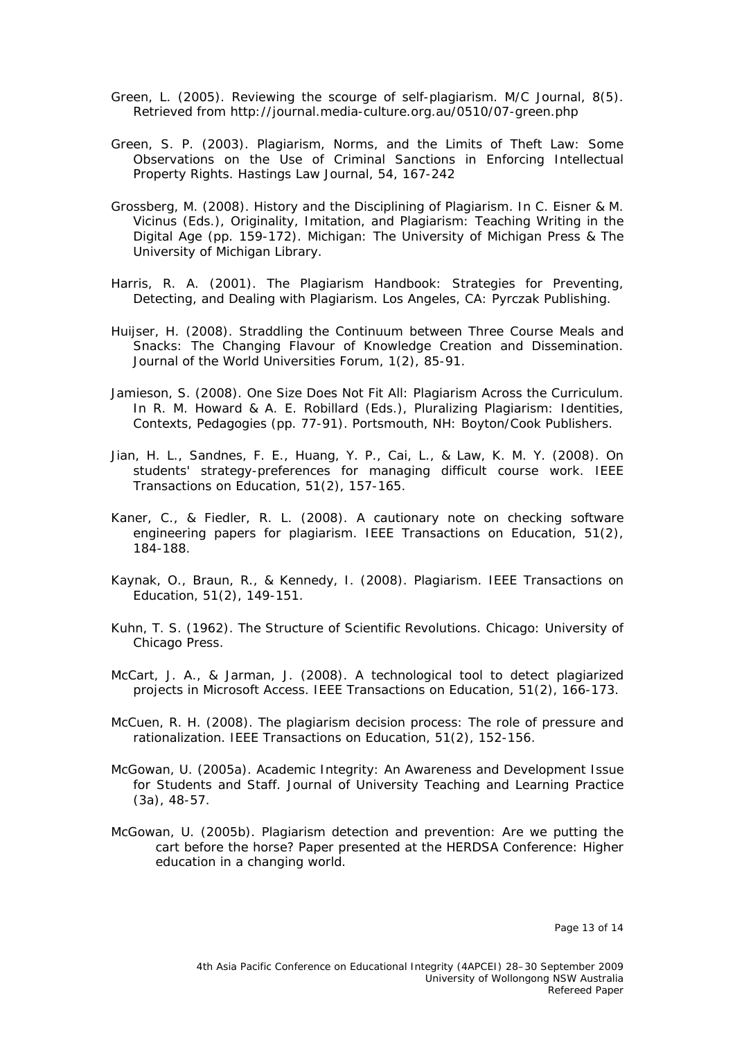- Green, L. (2005). Reviewing the scourge of self-plagiarism. *M/C Journal, 8*(5). Retrieved from http://journal.media-culture.org.au/0510/07-green.php
- Green, S. P. (2003). Plagiarism, Norms, and the Limits of Theft Law: Some Observations on the Use of Criminal Sanctions in Enforcing Intellectual Property Rights. *Hastings Law Journal, 54*, 167-242
- Grossberg, M. (2008). History and the Disciplining of Plagiarism. In C. Eisner & M. Vicinus (Eds.), *Originality, Imitation, and Plagiarism: Teaching Writing in the Digital Age* (pp. 159-172). Michigan: The University of Michigan Press & The University of Michigan Library.
- Harris, R. A. (2001). *The Plagiarism Handbook: Strategies for Preventing, Detecting, and Dealing with Plagiarism*. Los Angeles, CA: Pyrczak Publishing.
- Huijser, H. (2008). Straddling the Continuum between Three Course Meals and Snacks: The Changing Flavour of Knowledge Creation and Dissemination. *Journal of the World Universities Forum, 1*(2), 85-91.
- Jamieson, S. (2008). One Size Does Not Fit All: Plagiarism Across the Curriculum. In R. M. Howard & A. E. Robillard (Eds.), *Pluralizing Plagiarism: Identities, Contexts, Pedagogies* (pp. 77-91). Portsmouth, NH: Boyton/Cook Publishers.
- Jian, H. L., Sandnes, F. E., Huang, Y. P., Cai, L., & Law, K. M. Y. (2008). On students' strategy-preferences for managing difficult course work. *IEEE Transactions on Education, 51*(2), 157-165.
- Kaner, C., & Fiedler, R. L. (2008). A cautionary note on checking software engineering papers for plagiarism. *IEEE Transactions on Education, 51*(2), 184-188.
- Kaynak, O., Braun, R., & Kennedy, I. (2008). Plagiarism. *IEEE Transactions on Education, 51*(2), 149-151.
- Kuhn, T. S. (1962). *The Structure of Scientific Revolutions.* Chicago: University of Chicago Press.
- McCart, J. A., & Jarman, J. (2008). A technological tool to detect plagiarized projects in Microsoft Access. *IEEE Transactions on Education, 51*(2), 166-173.
- McCuen, R. H. (2008). The plagiarism decision process: The role of pressure and rationalization. *IEEE Transactions on Education, 51*(2), 152-156.
- McGowan, U. (2005a). Academic Integrity: An Awareness and Development Issue for Students and Staff. *Journal of University Teaching and Learning Practice*  (3a), 48-57.
- McGowan, U. (2005b). *Plagiarism detection and prevention: Are we putting the cart before the horse?* Paper presented at the HERDSA Conference: Higher education in a changing world.